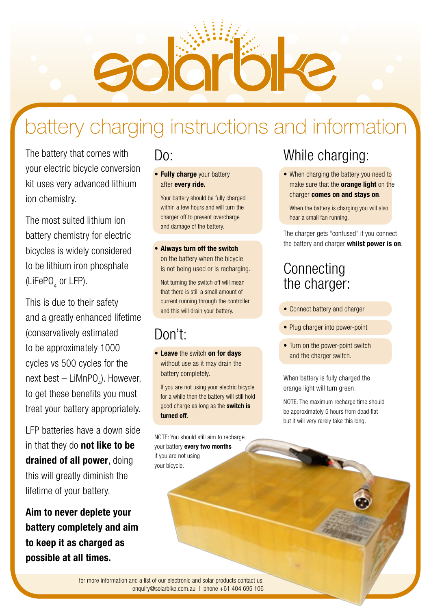Bojar

# battery charging instructions and information

The battery that comes with your electric bicycle conversion kit uses very advanced lithium ion chemistry.

The most suited lithium ion battery chemistry for electric bicycles is widely considered to be lithium iron phosphate (LiFePO<sub>4</sub> or LFP).

This is due to their safety and a greatly enhanced lifetime (conservatively estimated to be approximately 1000 cycles vs 500 cycles for the next best — LiMnPO<sub>4</sub>). However, to get these benefits you must treat your battery appropriately.

LFP batteries have a down side in that they do **not like to be** drained of all power, doing this will greatly diminish the lifetime of your battery.

### Aim to never deplete your battery completely and aim to keep it as charged as possible at all times.

### Do:

• Fully charge your battery after every ride.

Your battery should be fully charged within a few hours and will turn the charger off to prevent overcharge and damage of the battery.

• Always turn off the switch on the battery when the bicycle is not being used or is recharging.

Not turning the switch off will mean that there is still a small amount of current running through the controller and this will drain your battery.

# Don't:

• Leave the switch on for days without use as it may drain the battery completely.

If you are not using your electric bicycle for a while then the battery will still hold good charge as long as the switch is turned off.

NOTE: You should still aim to recharge your battery every two months if you are not using your bicycle.

# While charging:

• When charging the battery you need to make sure that the **orange light** on the charger comes on and stays on.

When the battery is charging you will also hear a small fan running.

The charger gets "confused" if you connect the battery and charger whilst power is on.

### **Connecting** the charger:

- Connect battery and charger
- Plug charger into power-point
- Turn on the power-point switch and the charger switch.

When battery is fully charged the orange light will turn green.

NOTE: The maximum recharge time should be approximately 5 hours from dead flat but it will very rarely take this long.